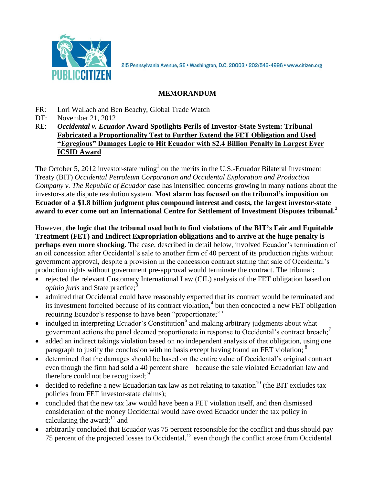

2I5 Pennsylvania Avenue, SE · Washington, D.C. 20003 · 202/546-4996 · www.citizen.org

# **MEMORANDUM**

- FR: Lori Wallach and Ben Beachy, Global Trade Watch
- DT: November 21, 2012
- RE: *Occidental v. Ecuador* **Award Spotlights Perils of Investor-State System: Tribunal Fabricated a Proportionality Test to Further Extend the FET Obligation and Used "Egregious" Damages Logic to Hit Ecuador with \$2.4 Billion Penalty in Largest Ever ICSID Award**

The October 5, 2012 investor-state ruling<sup>1</sup> on the merits in the U.S.-Ecuador Bilateral Investment Treaty (BIT) *Occidental Petroleum Corporation and Occidental Exploration and Production Company v. The Republic of Ecuador* case has intensified concerns growing in many nations about the investor-state dispute resolution system. **Most alarm has focused on the tribunal's imposition on Ecuador of a \$1.8 billion judgment plus compound interest and costs, the largest investor-state award to ever come out an International Centre for Settlement of Investment Disputes tribunal.<sup>2</sup>** 

However, **the logic that the tribunal used both to find violations of the BIT's Fair and Equitable Treatment (FET) and Indirect Expropriation obligations and to arrive at the huge penalty is perhaps even more shocking.** The case, described in detail below, involved Ecuador's termination of an oil concession after Occidental's sale to another firm of 40 percent of its production rights without government approval, despite a provision in the concession contract stating that sale of Occidental's production rights without government pre-approval would terminate the contract. The tribunal**:**

- rejected the relevant Customary International Law (CIL) analysis of the FET obligation based on *opinio juris* and State practice;<sup>3</sup>
- admitted that Occidental could have reasonably expected that its contract would be terminated and its investment forfeited because of its contract violation,<sup>4</sup> but then concocted a new FET obligation requiring Ecuador's response to have been "proportionate;"<sup>5</sup>
- $\bullet$  indulged in interpreting Ecuador's Constitution<sup>6</sup> and making arbitrary judgments about what government actions the panel deemed proportionate in response to Occidental's contract breach;<sup>7</sup>
- added an indirect takings violation based on no independent analysis of that obligation, using one paragraph to justify the conclusion with no basis except having found an FET violation; <sup>8</sup>
- determined that the damages should be based on the entire value of Occidental's original contract even though the firm had sold a 40 percent share – because the sale violated Ecuadorian law and therefore could not be recognized;  $9$
- decided to redefine a new Ecuadorian tax law as not relating to taxation<sup>10</sup> (the BIT excludes tax policies from FET investor-state claims);
- concluded that the new tax law would have been a FET violation itself, and then dismissed consideration of the money Occidental would have owed Ecuador under the tax policy in calculating the award; $^{11}$  and
- arbitrarily concluded that Ecuador was 75 percent responsible for the conflict and thus should pay 75 percent of the projected losses to Occidental,  $12$  even though the conflict arose from Occidental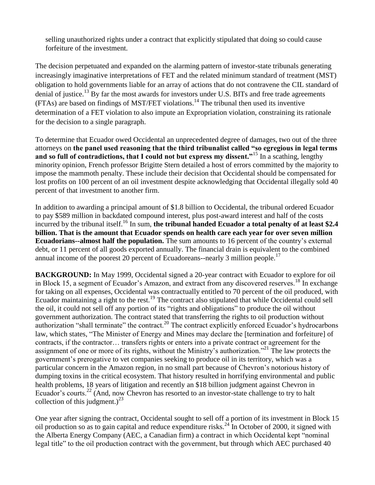selling unauthorized rights under a contract that explicitly stipulated that doing so could cause forfeiture of the investment.

The decision perpetuated and expanded on the alarming pattern of investor-state tribunals generating increasingly imaginative interpretations of FET and the related minimum standard of treatment (MST) obligation to hold governments liable for an array of actions that do not contravene the CIL standard of denial of justice.<sup>13</sup> By far the most awards for investors under U.S. BITs and free trade agreements  $(FTAs)$  are based on findings of MST/FET violations.<sup>14</sup> The tribunal then used its inventive determination of a FET violation to also impute an Expropriation violation, constraining its rationale for the decision to a single paragraph.

To determine that Ecuador owed Occidental an unprecedented degree of damages, two out of the three attorneys on **the panel used reasoning that the third tribunalist called "so egregious in legal terms and so full of contradictions, that I could not but express my dissent."**<sup>15</sup> In a scathing, lengthy minority opinion, French professor Brigitte Stern detailed a host of errors committed by the majority to impose the mammoth penalty. These include their decision that Occidental should be compensated for lost profits on 100 percent of an oil investment despite acknowledging that Occidental illegally sold 40 percent of that investment to another firm.

In addition to awarding a principal amount of \$1.8 billion to Occidental, the tribunal ordered Ecuador to pay \$589 million in backdated compound interest, plus post-award interest and half of the costs incurred by the tribunal itself.<sup>16</sup> In sum, **the tribunal handed Ecuador a total penalty of at least \$2.4 billion. That is the amount that Ecuador spends on health care each year for over seven million Ecuadorians--almost half the population.** The sum amounts to 16 percent of the country's external debt, or 11 percent of all goods exported annually. The financial drain is equivalent to the combined annual income of the poorest 20 percent of Ecuadoreans--nearly 3 million people.<sup>17</sup>

**BACKGROUND:** In May 1999, Occidental signed a 20-year contract with Ecuador to explore for oil in Block 15, a segment of Ecuador's Amazon, and extract from any discovered reserves.<sup>18</sup> In exchange for taking on all expenses, Occidental was contractually entitled to 70 percent of the oil produced, with Ecuador maintaining a right to the rest.<sup>19</sup> The contract also stipulated that while Occidental could sell the oil, it could not sell off any portion of its "rights and obligations" to produce the oil without government authorization. The contract stated that transferring the rights to oil production without authorization "shall terminate" the contract.<sup>20</sup> The contract explicitly enforced Ecuador's hydrocarbons law, which states, "The Minister of Energy and Mines may declare the [termination and forfeiture] of contracts, if the contractor… transfers rights or enters into a private contract or agreement for the assignment of one or more of its rights, without the Ministry's authorization."<sup>21</sup> The law protects the government's prerogative to vet companies seeking to produce oil in its territory, which was a particular concern in the Amazon region, in no small part because of Chevron's notorious history of dumping toxins in the critical ecosystem. That history resulted in horrifying environmental and public health problems, 18 years of litigation and recently an \$18 billion judgment against Chevron in Ecuador's courts.<sup>22</sup> (And, now Chevron has resorted to an investor-state challenge to try to halt collection of this judgment.)<sup>23</sup>

One year after signing the contract, Occidental sought to sell off a portion of its investment in Block 15 oil production so as to gain capital and reduce expenditure risks.<sup>24</sup> In October of 2000, it signed with the Alberta Energy Company (AEC, a Canadian firm) a contract in which Occidental kept "nominal legal title" to the oil production contract with the government, but through which AEC purchased 40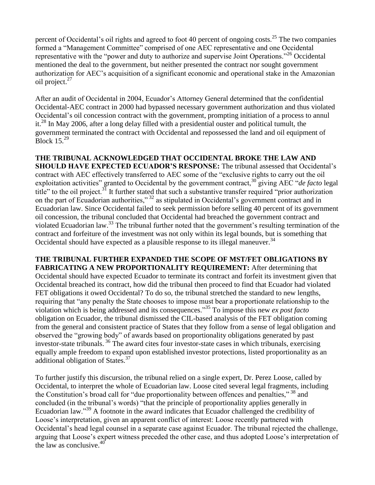percent of Occidental's oil rights and agreed to foot 40 percent of ongoing costs.<sup>25</sup> The two companies formed a "Management Committee" comprised of one AEC representative and one Occidental representative with the "power and duty to authorize and supervise Joint Operations."<sup>26</sup> Occidental mentioned the deal to the government, but neither presented the contract nor sought government authorization for AEC's acquisition of a significant economic and operational stake in the Amazonian oil project.<sup>27</sup>

After an audit of Occidental in 2004, Ecuador's Attorney General determined that the confidential Occidental-AEC contract in 2000 had bypassed necessary government authorization and thus violated Occidental's oil concession contract with the government, prompting initiation of a process to annul it.<sup>28</sup> In May 2006, after a long delay filled with a presidential ouster and political tumult, the government terminated the contract with Occidental and repossessed the land and oil equipment of Block  $15^{29}$ 

**THE TRIBUNAL ACKNOWLEDGED THAT OCCIDENTAL BROKE THE LAW AND SHOULD HAVE EXPECTED ECUADOR'S RESPONSE:** The tribunal assessed that Occidental's contract with AEC effectively transferred to AEC some of the "exclusive rights to carry out the oil exploitation activities" granted to Occidental by the government contract,<sup>30</sup> giving AEC "*de facto* legal title" to the oil project.<sup>31</sup> It further stated that such a substantive transfer required "prior authorization" on the part of Ecuadorian authorities,"<sup>32</sup> as stipulated in Occidental's government contract and in Ecuadorian law. Since Occidental failed to seek permission before selling 40 percent of its government oil concession, the tribunal concluded that Occidental had breached the government contract and violated Ecuadorian law.<sup>33</sup> The tribunal further noted that the government's resulting termination of the contract and forfeiture of the investment was not only within its legal bounds, but is something that Occidental should have expected as a plausible response to its illegal maneuver.<sup>34</sup>

**THE TRIBUNAL FURTHER EXPANDED THE SCOPE OF MST/FET OBLIGATIONS BY FABRICATING A NEW PROPORTIONALITY REQUIREMENT:** After determining that Occidental should have expected Ecuador to terminate its contract and forfeit its investment given that Occidental breached its contract, how did the tribunal then proceed to find that Ecuador had violated FET obligations it owed Occidental? To do so, the tribunal stretched the standard to new lengths, requiring that "any penalty the State chooses to impose must bear a proportionate relationship to the violation which is being addressed and its consequences."<sup>35</sup> To impose this new *ex post facto*  obligation on Ecuador, the tribunal dismissed the CIL-based analysis of the FET obligation coming from the general and consistent practice of States that they follow from a sense of legal obligation and observed the "growing body" of awards based on proportionality obligations generated by past investor-state tribunals. <sup>36</sup> The award cites four investor-state cases in which tribunals, exercising equally ample freedom to expand upon established investor protections, listed proportionality as an additional obligation of States.<sup>37</sup>

To further justify this discursion, the tribunal relied on a single expert, Dr. Perez Loose, called by Occidental, to interpret the whole of Ecuadorian law. Loose cited several legal fragments, including the Constitution's broad call for "due proportionality between offences and penalties,"<sup>38</sup> and concluded (in the tribunal's words) "that the principle of proportionality applies generally in Ecuadorian law."<sup>39</sup> A footnote in the award indicates that Ecuador challenged the credibility of Loose's interpretation, given an apparent conflict of interest: Loose recently partnered with Occidental's head legal counsel in a separate case against Ecuador. The tribunal rejected the challenge, arguing that Loose's expert witness preceded the other case, and thus adopted Loose's interpretation of the law as conclusive. 40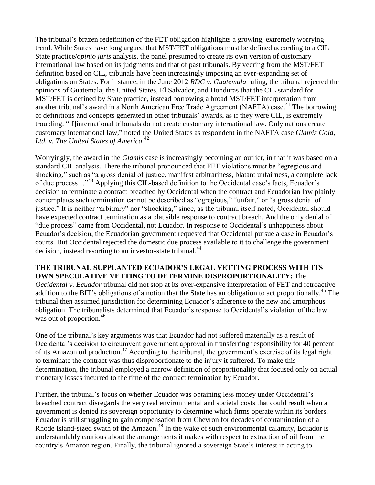The tribunal's brazen redefinition of the FET obligation highlights a growing, extremely worrying trend. While States have long argued that MST/FET obligations must be defined according to a CIL State practice/*opinio juris* analysis, the panel presumed to create its own version of customary international law based on its judgments and that of past tribunals. By veering from the MST/FET definition based on CIL, tribunals have been increasingly imposing an ever-expanding set of obligations on States. For instance, in the June 2012 *RDC v. Guatemala* ruling, the tribunal rejected the opinions of Guatemala, the United States, El Salvador, and Honduras that the CIL standard for MST/FET is defined by State practice, instead borrowing a broad MST/FET interpretation from another tribunal's award in a North American Free Trade Agreement (NAFTA) case.<sup>41</sup> The borrowing of definitions and concepts generated in other tribunals' awards, as if they were CIL, is extremely troubling. "[I]international tribunals do not create customary international law. Only nations create customary international law," noted the United States as respondent in the NAFTA case *Glamis Gold, Ltd. v. The United States of America.* 42

Worryingly, the award in the *Glamis* case is increasingly becoming an outlier, in that it was based on a standard CIL analysis. There the tribunal pronounced that FET violations must be "egregious and shocking," such as "a gross denial of justice, manifest arbitrariness, blatant unfairness, a complete lack of due process…"<sup>43</sup> Applying this CIL-based definition to the Occidental case's facts, Ecuador's decision to terminate a contract breached by Occidental when the contract and Ecuadorian law plainly contemplates such termination cannot be described as "egregious," "unfair," or "a gross denial of justice." It is neither "arbitrary" nor "shocking," since, as the tribunal itself noted, Occidental should have expected contract termination as a plausible response to contract breach. And the only denial of "due process" came from Occidental, not Ecuador. In response to Occidental's unhappiness about Ecuador's decision, the Ecuadorian government requested that Occidental pursue a case in Ecuador's courts. But Occidental rejected the domestic due process available to it to challenge the government decision, instead resorting to an investor-state tribunal.<sup>44</sup>

# **THE TRIBUNAL SUPPLANTED ECUADOR'S LEGAL VETTING PROCESS WITH ITS OWN SPECULATIVE VETTING TO DETERMINE DISPROPORTIONALITY:** The

*Occidental v. Ecuador* tribunal did not stop at its over-expansive interpretation of FET and retroactive addition to the BIT's obligations of a notion that the State has an obligation to act proportionally.<sup>45</sup> The tribunal then assumed jurisdiction for determining Ecuador's adherence to the new and amorphous obligation. The tribunalists determined that Ecuador's response to Occidental's violation of the law was out of proportion. 46

One of the tribunal's key arguments was that Ecuador had not suffered materially as a result of Occidental's decision to circumvent government approval in transferring responsibility for 40 percent of its Amazon oil production.<sup>47</sup> According to the tribunal, the government's exercise of its legal right to terminate the contract was thus disproportionate to the injury it suffered. To make this determination, the tribunal employed a narrow definition of proportionality that focused only on actual monetary losses incurred to the time of the contract termination by Ecuador.

Further, the tribunal's focus on whether Ecuador was obtaining less money under Occidental's breached contract disregards the very real environmental and societal costs that could result when a government is denied its sovereign opportunity to determine which firms operate within its borders. Ecuador is still struggling to gain compensation from Chevron for decades of contamination of a Rhode Island-sized swath of the Amazon.<sup>48</sup> In the wake of such environmental calamity, Ecuador is understandably cautious about the arrangements it makes with respect to extraction of oil from the country's Amazon region. Finally, the tribunal ignored a sovereign State's interest in acting to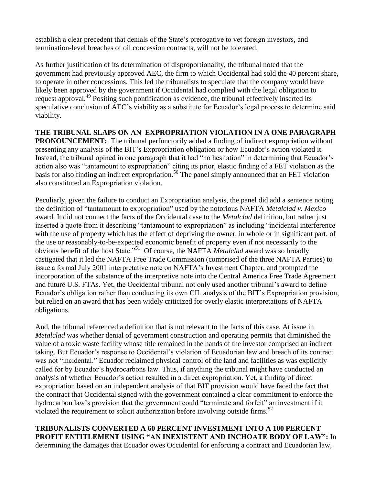establish a clear precedent that denials of the State's prerogative to vet foreign investors, and termination-level breaches of oil concession contracts, will not be tolerated.

As further justification of its determination of disproportionality, the tribunal noted that the government had previously approved AEC, the firm to which Occidental had sold the 40 percent share, to operate in other concessions. This led the tribunalists to speculate that the company would have likely been approved by the government if Occidental had complied with the legal obligation to request approval.<sup>49</sup> Positing such pontification as evidence, the tribunal effectively inserted its speculative conclusion of AEC's viability as a substitute for Ecuador's legal process to determine said viability.

**THE TRIBUNAL SLAPS ON AN EXPROPRIATION VIOLATION IN A ONE PARAGRAPH PRONOUNCEMENT:** The tribunal perfunctorily added a finding of indirect expropriation without presenting any analysis of the BIT's Expropriation obligation or how Ecuador's action violated it. Instead, the tribunal opined in one paragraph that it had "no hesitation" in determining that Ecuador's action also was "tantamount to expropriation" citing its prior, elastic finding of a FET violation as the basis for also finding an indirect expropriation. <sup>50</sup> The panel simply announced that an FET violation also constituted an Expropriation violation.

Peculiarly, given the failure to conduct an Expropriation analysis, the panel did add a sentence noting the definition of "tantamount to expropriation" used by the notorious NAFTA *Metalclad v. Mexico* award. It did not connect the facts of the Occidental case to the *Metalclad* definition, but rather just inserted a quote from it describing "tantamount to expropriation" as including "incidental interference with the use of property which has the effect of depriving the owner, in whole or in significant part, of the use or reasonably-to-be-expected economic benefit of property even if not necessarily to the obvious benefit of the host State."<sup>51</sup> Of course, the NAFTA *Metalclad* award was so broadly castigated that it led the NAFTA Free Trade Commission (comprised of the three NAFTA Parties) to issue a formal July 2001 interpretative note on NAFTA's Investment Chapter, and prompted the incorporation of the substance of the interpretive note into the Central America Free Trade Agreement and future U.S. FTAs. Yet, the Occidental tribunal not only used another tribunal's award to define Ecuador's obligation rather than conducting its own CIL analysis of the BIT's Expropriation provision, but relied on an award that has been widely criticized for overly elastic interpretations of NAFTA obligations.

And, the tribunal referenced a definition that is not relevant to the facts of this case. At issue in *Metalclad* was whether denial of government construction and operating permits that diminished the value of a toxic waste facility whose title remained in the hands of the investor comprised an indirect taking. But Ecuador's response to Occidental's violation of Ecuadorian law and breach of its contract was not "incidental." Ecuador reclaimed physical control of the land and facilities as was explicitly called for by Ecuador's hydrocarbons law. Thus, if anything the tribunal might have conducted an analysis of whether Ecuador's action resulted in a direct expropriation. Yet, a finding of direct expropriation based on an independent analysis of that BIT provision would have faced the fact that the contract that Occidental signed with the government contained a clear commitment to enforce the hydrocarbon law's provision that the government could "terminate and forfeit" an investment if it violated the requirement to solicit authorization before involving outside firms.<sup>52</sup>

**TRIBUNALISTS CONVERTED A 60 PERCENT INVESTMENT INTO A 100 PERCENT PROFIT ENTITLEMENT USING "AN INEXISTENT AND INCHOATE BODY OF LAW":** In determining the damages that Ecuador owes Occidental for enforcing a contract and Ecuadorian law,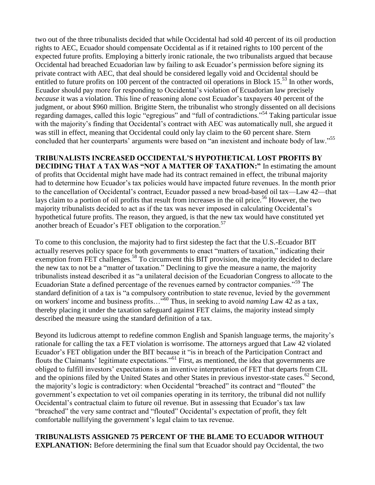two out of the three tribunalists decided that while Occidental had sold 40 percent of its oil production rights to AEC, Ecuador should compensate Occidental as if it retained rights to 100 percent of the expected future profits. Employing a bitterly ironic rationale, the two tribunalists argued that because Occidental had breached Ecuadorian law by failing to ask Ecuador's permission before signing its private contract with AEC, that deal should be considered legally void and Occidental should be entitled to future profits on 100 percent of the contracted oil operations in Block 15.<sup>53</sup> In other words, Ecuador should pay more for responding to Occidental's violation of Ecuadorian law precisely *because* it was a violation. This line of reasoning alone cost Ecuador's taxpayers 40 percent of the judgment, or about \$960 million. Brigitte Stern, the tribunalist who strongly dissented on all decisions regarding damages, called this logic "egregious" and "full of contradictions."<sup>54</sup> Taking particular issue with the majority's finding that Occidental's contract with AEC was automatically null, she argued it was still in effect, meaning that Occidental could only lay claim to the 60 percent share. Stern concluded that her counterparts' arguments were based on "an inexistent and inchoate body of law."<sup>55</sup>

# **TRIBUNALISTS INCREASED OCCIDENTAL'S HYPOTHETICAL LOST PROFITS BY**

**DECIDING THAT A TAX WAS "NOT A MATTER OF TAXATION:"** In estimating the amount of profits that Occidental might have made had its contract remained in effect, the tribunal majority had to determine how Ecuador's tax policies would have impacted future revenues. In the month prior to the cancellation of Occidental's contract, Ecuador passed a new broad-based oil tax—Law 42—that lays claim to a portion of oil profits that result from increases in the oil price.<sup>56</sup> However, the two majority tribunalists decided to act as if the tax was never imposed in calculating Occidental's hypothetical future profits. The reason, they argued, is that the new tax would have constituted yet another breach of Ecuador's FET obligation to the corporation.<sup>57</sup>

To come to this conclusion, the majority had to first sidestep the fact that the U.S.-Ecuador BIT actually reserves policy space for both governments to enact "matters of taxation," indicating their exemption from FET challenges.<sup>58</sup> To circumvent this BIT provision, the majority decided to declare the new tax to not be a "matter of taxation." Declining to give the measure a name, the majority tribunalists instead described it as "a unilateral decision of the Ecuadorian Congress to allocate to the Ecuadorian State a defined percentage of the revenues earned by contractor companies."<sup>59</sup> The standard definition of a tax is "a compulsory contribution to state revenue, levied by the government on workers' income and business profits…"<sup>60</sup> Thus, in seeking to avoid *naming* Law 42 as a tax, thereby placing it under the taxation safeguard against FET claims, the majority instead simply described the measure using the standard definition of a tax.

Beyond its ludicrous attempt to redefine common English and Spanish language terms, the majority's rationale for calling the tax a FET violation is worrisome. The attorneys argued that Law 42 violated Ecuador's FET obligation under the BIT because it "is in breach of the Participation Contract and flouts the Claimants' legitimate expectations."<sup>61</sup> First, as mentioned, the idea that governments are obliged to fulfill investors' expectations is an inventive interpretation of FET that departs from CIL and the opinions filed by the United States and other States in previous investor-state cases.<sup>62</sup> Second, the majority's logic is contradictory: when Occidental "breached" its contract and "flouted" the government's expectation to vet oil companies operating in its territory, the tribunal did not nullify Occidental's contractual claim to future oil revenue. But in assessing that Ecuador's tax law "breached" the very same contract and "flouted" Occidental's expectation of profit, they felt comfortable nullifying the government's legal claim to tax revenue.

# **TRIBUNALISTS ASSIGNED 75 PERCENT OF THE BLAME TO ECUADOR WITHOUT EXPLANATION:** Before determining the final sum that Ecuador should pay Occidental, the two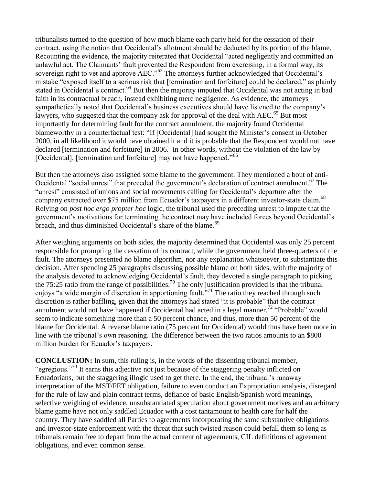tribunalists turned to the question of how much blame each party held for the cessation of their contract, using the notion that Occidental's allotment should be deducted by its portion of the blame. Recounting the evidence, the majority reiterated that Occidental "acted negligently and committed an unlawful act. The Claimants' fault prevented the Respondent from exercising, in a formal way, its sovereign right to vet and approve AEC."<sup>63</sup> The attorneys further acknowledged that Occidental's mistake "exposed itself to a serious risk that [termination and forfeiture] could be declared," as plainly stated in Occidental's contract.<sup>64</sup> But then the majority imputed that Occidental was not acting in bad faith in its contractual breach, instead exhibiting mere negligence. As evidence, the attorneys sympathetically noted that Occidental's business executives should have listened to the company's lawyers, who suggested that the company ask for approval of the deal with  $AEC$ <sup>55</sup>. But most importantly for determining fault for the contract annulment, the majority found Occidental blameworthy in a counterfactual test: "If [Occidental] had sought the Minister's consent in October 2000, in all likelihood it would have obtained it and it is probable that the Respondent would not have declared [termination and forfeiture] in 2006. In other words, without the violation of the law by [Occidental], [termination and forfeiture] may not have happened."<sup>66</sup>

But then the attorneys also assigned some blame to the government. They mentioned a bout of anti-Occidental "social unrest" that preceded the government's declaration of contract annulment.<sup>67</sup> The "unrest" consisted of unions and social movements calling for Occidental's departure after the company extracted over \$75 million from Ecuador's taxpayers in a different investor-state claim.<sup>68</sup> Relying on *post hoc ergo propter hoc* logic, the tribunal used the preceding unrest to impute that the government's motivations for terminating the contract may have included forces beyond Occidental's breach, and thus diminished Occidental's share of the blame.<sup>69</sup>

After weighing arguments on both sides, the majority determined that Occidental was only 25 percent responsible for prompting the cessation of its contract, while the government held three-quarters of the fault. The attorneys presented no blame algorithm, nor any explanation whatsoever, to substantiate this decision. After spending 25 paragraphs discussing possible blame on both sides, with the majority of the analysis devoted to acknowledging Occidental's fault, they devoted a single paragraph to picking the 75:25 ratio from the range of possibilities.<sup>70</sup> The only justification provided is that the tribunal enjoys "a wide margin of discretion in apportioning fault."<sup>71</sup> The ratio they reached through such discretion is rather baffling, given that the attorneys had stated "it is probable" that the contract annulment would not have happened if Occidental had acted in a legal manner.<sup>72</sup> "Probable" would seem to indicate something more than a 50 percent chance, and thus, more than 50 percent of the blame for Occidental. A reverse blame ratio (75 percent for Occidental) would thus have been more in line with the tribunal's own reasoning. The difference between the two ratios amounts to an \$800 million burden for Ecuador's taxpayers.

**CONCLUSTION:** In sum, this ruling is, in the words of the dissenting tribunal member, "egregious."<sup>73</sup> It earns this adjective not just because of the staggering penalty inflicted on Ecuadorians, but the staggering illogic used to get there. In the end, the tribunal's runaway interpretation of the MST/FET obligation, failure to even conduct an Expropriation analysis, disregard for the rule of law and plain contract terms, defiance of basic English/Spanish word meanings, selective weighing of evidence, unsubstantiated speculation about government motives and an arbitrary blame game have not only saddled Ecuador with a cost tantamount to health care for half the country. They have saddled all Parties to agreements incorporating the same substantive obligations and investor-state enforcement with the threat that such twisted reason could befall them so long as tribunals remain free to depart from the actual content of agreements, CIL definitions of agreement obligations, and even common sense.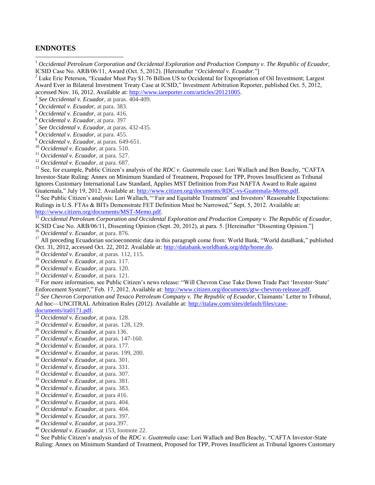### **ENDNOTES**

 $\overline{a}$ 

<sup>1</sup> Occidental Petroleum Corporation and Occidental Exploration and Production Company v. The Republic of Ecuador, ICSID Case No. ARB/06/11, Award (Oct. 5, 2012). [Hereinafter "*Occidental v. Ecuador.*"]

<sup>2</sup> Luke Eric Peterson, "Ecuador Must Pay \$1.76 Billion US to Occidental for Expropriation of Oil Investment; Largest Award Ever in Bilateral Investment Treaty Case at ICSID," Investment Arbitration Reporter, published Oct. 5, 2012, accessed Nov. 16, 2012. Available at: [http://www.iareporter.com/articles/20121005.](http://www.iareporter.com/articles/20121005)

- *See Occidental v. Ecuador*, at paras. 404-409.
- *Occidental v. Ecuador*, at para. 383.
- *Occidental v. Ecuador*, at para. 416.
- *Occidental v. Ecuador*, at para. 397
- *See Occidental v. Ecuador*, at paras. 432-435.
- *Occidental v. Ecuador*, at para. 455.
- *Occidental v. Ecuador*, at paras. 649-651.
- *Occidental v. Ecuador*, at para. 510.
- *Occidental v. Ecuador*, at para. 527.
- *Occidental v. Ecuador*, at para. 687.

<sup>13</sup> See, for example, Public Citizen's analysis of the *RDC v. Guatemala* case: Lori Wallach and Ben Beachy, "CAFTA" Investor-State Ruling: Annex on Minimum Standard of Treatment, Proposed for TPP, Proves Insufficient as Tribunal Ignores Customary International Law Standard, Applies MST Definition from Past NAFTA Award to Rule against Guatemala," July 19, 2012. Available at: http://www.citizen.org/documents/RDC-vs-Guatemala-Memo.pdf.

<sup>14</sup> See Public Citizen's analysis: Lori Wallach, "'Fair and Equitable Treatment' and Investors' Reasonable Expectations: Rulings in U.S. FTAs & BITs Demonstrate FET Definition Must be Narrowed," Sept. 5, 2012. Available at: [http://www.citizen.org/documents/MST-Memo.pdf.](http://www.citizen.org/documents/MST-Memo.pdf)

 *Occidental Petroleum Corporation and Occidental Exploration and Production Company v. The Republic of Ecuador,*  ICSID Case No. ARB/06/11, Dissenting Opinion (Sept. 20, 2012), at para. 5. [Hereinafter "Dissenting Opinion."] *Occidental v. Ecuador*, at para. 876.

<sup>17</sup> All preceding Ecuadorian socioeconomic data in this paragraph come from: World Bank, "World dataBank," published Oct. 31, 2012, accessed Oct. 22, 2012. Available at: [http://databank.worldbank.org/ddp/home.do.](http://databank.worldbank.org/ddp/home.do)

- *Occidental v. Ecuador*, at paras. 112, 115.
- *Occidental v. Ecuador*, at para. 117.
- *Occidental v. Ecuador*, at para. 120.
- *Occidental v. Ecuador*, at para. 121.

<sup>22</sup> For more information, see Public Citizen's news release: "Will Chevron Case Take Down Trade Pact 'Investor-State' Enforcement System?," Feb. 17, 2012. Available at: [http://www.citizen.org/documents/gtw-chevron-release.pdf.](http://www.citizen.org/documents/gtw-chevron-release.pdf)

 *See Chevron Corporation and Texaco Petroleum Company v. The Republic of Ecuador*, Claimants' Letter to Tribunal, Ad hoc—UNCITRAL Arbitration Rules (2012). Available at: [http://italaw.com/sites/default/files/case-](http://italaw.com/sites/default/files/case-documents/ita0171.pdf)

[documents/ita0171.pdf.](http://italaw.com/sites/default/files/case-documents/ita0171.pdf)

- *Occidental v. Ecuador*, at para. 128.
- *Occidental v. Ecuador*, at paras. 128, 129.
- *Occidental v. Ecuador*, at para 136.
- *Occidental v. Ecuador*, at paras. 147-160.
- *Occidental v. Ecuador*, at para. 177.
- *Occidental v. Ecuador*, at paras. 199, 200.
- *Occidental v. Ecuador*, at para. 301.
- *Occidental v. Ecuador*, at para. 331.
- *Occidental v. Ecuador*, at para. 307.
- *Occidental v. Ecuador*, at para. 381.
- *Occidental v. Ecuador*, at para. 383.
- *Occidental v. Ecuador*, at para 416.
- *Occidental v. Ecuador*, at para. 404.
- *Occidental v. Ecuador*, at para. 404.
- *Occidental v. Ecuador*, at para. 397.
- *Occidental v. Ecuador*, at para.397.
- *Occidental v. Ecuador*, at 153, footnote 22.

 See Public Citizen's analysis of the *RDC v. Guatemala* case: Lori Wallach and Ben Beachy, "CAFTA Investor-State Ruling: Annex on Minimum Standard of Treatment, Proposed for TPP, Proves Insufficient as Tribunal Ignores Customary